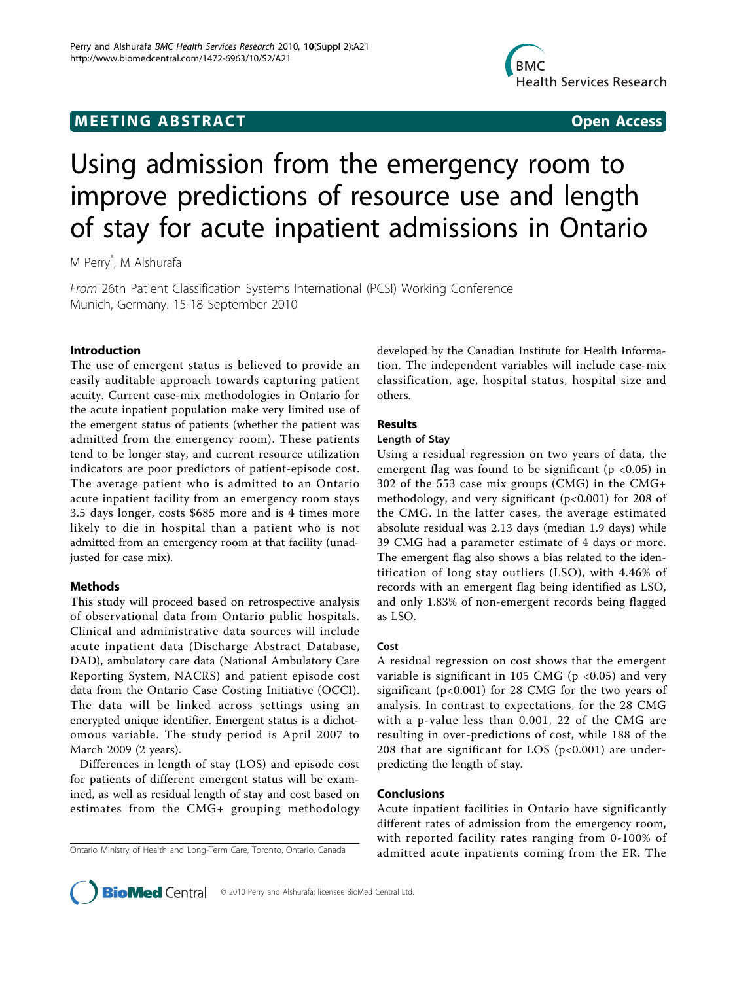## **MEETING ABSTRACT ACCESS**



# Using admission from the emergency room to improve predictions of resource use and length of stay for acute inpatient admissions in Ontario

M Perry\* , M Alshurafa

From 26th Patient Classification Systems International (PCSI) Working Conference Munich, Germany. 15-18 September 2010

#### Introduction

The use of emergent status is believed to provide an easily auditable approach towards capturing patient acuity. Current case-mix methodologies in Ontario for the acute inpatient population make very limited use of the emergent status of patients (whether the patient was admitted from the emergency room). These patients tend to be longer stay, and current resource utilization indicators are poor predictors of patient-episode cost. The average patient who is admitted to an Ontario acute inpatient facility from an emergency room stays 3.5 days longer, costs \$685 more and is 4 times more likely to die in hospital than a patient who is not admitted from an emergency room at that facility (unadjusted for case mix).

### Methods

This study will proceed based on retrospective analysis of observational data from Ontario public hospitals. Clinical and administrative data sources will include acute inpatient data (Discharge Abstract Database, DAD), ambulatory care data (National Ambulatory Care Reporting System, NACRS) and patient episode cost data from the Ontario Case Costing Initiative (OCCI). The data will be linked across settings using an encrypted unique identifier. Emergent status is a dichotomous variable. The study period is April 2007 to March 2009 (2 years).

Differences in length of stay (LOS) and episode cost for patients of different emergent status will be examined, as well as residual length of stay and cost based on estimates from the CMG+ grouping methodology

developed by the Canadian Institute for Health Information. The independent variables will include case-mix classification, age, hospital status, hospital size and others.

### Results

Using a residual regression on two years of data, the emergent flag was found to be significant ( $p < 0.05$ ) in 302 of the 553 case mix groups (CMG) in the CMG+ methodology, and very significant (p<0.001) for 208 of the CMG. In the latter cases, the average estimated absolute residual was 2.13 days (median 1.9 days) while 39 CMG had a parameter estimate of 4 days or more. The emergent flag also shows a bias related to the identification of long stay outliers (LSO), with 4.46% of records with an emergent flag being identified as LSO, and only 1.83% of non-emergent records being flagged as LSO.

A residual regression on cost shows that the emergent variable is significant in 105 CMG ( $p$  <0.05) and very significant (p<0.001) for 28 CMG for the two years of analysis. In contrast to expectations, for the 28 CMG with a p-value less than 0.001, 22 of the CMG are resulting in over-predictions of cost, while 188 of the 208 that are significant for LOS ( $p<0.001$ ) are underpredicting the length of stay.

#### Conclusions

Acute inpatient facilities in Ontario have significantly different rates of admission from the emergency room, with reported facility rates ranging from 0-100% of Ontario Ministry of Health and Long-Term Care, Toronto, Ontario, Canada admitted acute inpatients coming from the ER. The